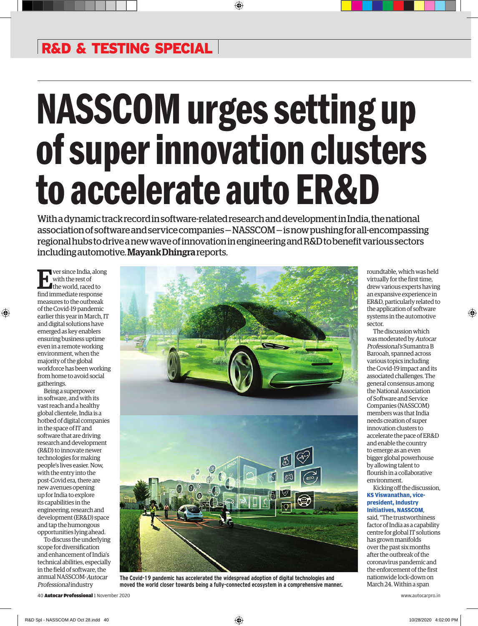# NASSCOM urges setting up of super innovation clusters to accelerate auto ER&D

With a dynamic track record in software-related research and development in India, the national association of software and service companies — NASSCOM — is now pushing for all-encompassing regional hubs to drive a new wave of innovation in engineering and R&D to benefit various sectors including automotive. Mayank Dhingra reports.

Ever since India, along with the rest of the world, raced to find immediate response measures to the outbreak of the Covid-19 pandemic earlier this year in March, IT and digital solutions have emerged as key enablers ensuring business uptime even in a remote working environment, when the majority of the global workforce has been working from home to avoid social gatherings.

Being a superpower in software, and with its vast reach and a healthy global clientele, India is a hotbed of digital companies in the space of IT and software that are driving research and development (R&D) to innovate newer technologies for making people's lives easier. Now, with the entry into the post-Covid era, there are new avenues opening up for India to explore its capabilities in the engineering, research and development (ER&D) space and tap the humongous opportunities lying ahead.

To discuss the underlying scope for diversification and enhancement of India's technical abilities, especially in the field of software, the annual NASSCOM-Autocar Professional industry



**The Covid-19 pandemic has accelerated the widespread adoption of digital technologies and moved the world closer towards being a fully-connected ecosystem in a comprehensive manner.**

roundtable, which was held virtually for the first time, drew various experts having an expansive experience in ER&D, particularly related to the application of software systems in the automotive sector.

The discussion which was moderated by Autocar Professional's Sumantra B Barooah, spanned across various topics including the Covid-19 impact and its associated challenges. The general consensus among the National Association of Software and Service Companies (NASSCOM) members was that India needs creation of super innovation clusters to accelerate the pace of ER&D and enable the country to emerge as an even bigger global powerhouse by allowing talent to flourish in a collaborative environment.

Kicking off the discussion, **KS Viswanathan, vice-**

### **president, Industry Initiatives, NASSCOM**,

said, "The trustworthiness factor of India as a capability centre for global IT solutions has grown manifolds over the past six months after the outbreak of the coronavirus pandemic and the enforcement of the first nationwide lock-down on March 24. Within a span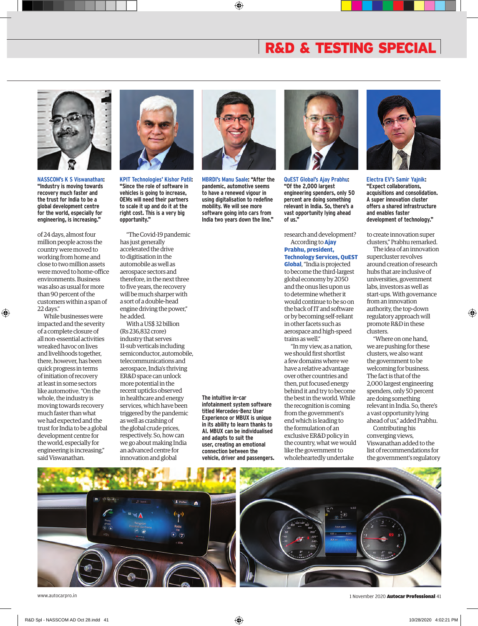

**NASSCOM's K S Viswanathan: "Industry is moving towards recovery much faster and the trust for India to be a global development centre for the world, especially for engineering, is increasing."**

of 24 days, almost four million people across the country were moved to working from home and close to two million assets were moved to home-office environments. Business was also as usual for more than 90 percent of the customers within a span of 22 days."

While businesses were impacted and the severity of a complete closure of all non-essential activities wreaked havoc on lives and livelihoods together, there, however, has been quick progress in terms of initiation of recovery at least in some sectors like automotive. "On the whole, the industry is moving towards recovery much faster than what we had expected and the trust for India to be a global development centre for the world, especially for engineering is increasing," said Viswanathan.



**KPIT Technologies' Kishor Patil: "Since the role of software in vehicles is going to increase, OEMs will need their partners to scale it up and do it at the right cost. This is a very big opportunity."**

"The Covid-19 pandemic has just generally accelerated the drive to digitisation in the automobile as well as aerospace sectors and therefore, in the next three to five years, the recovery will be much sharper with a sort of a double-head engine driving the power," he added.

With a US\$ 32 billion (Rs 236,832 crore) industry that serves 11-sub verticals including semiconductor, automobile, telecommunications and aerospace, India's thriving ER&D space can unlock more potential in the recent upticks observed in healthcare and energy services, which have been triggered by the pandemic as well as crashing of the global crude prices, respectively. So, how can we go about making India an advanced centre for innovation and global



**MBRDI's Manu Saale: "After the pandemic, automotive seems to have a renewed vigour in using digitalisation to redefine mobility. We will see more software going into cars from India two years down the line."**



**QuEST Global's Ajay Prabhu: "Of the 2,000 largest engineering spenders, only 50 percent are doing something relevant in India. So, there's a vast opportunity lying ahead of us."**

research and development? According to **Ajay Prabhu, president,** 

**Technology Services, QuEST Global**, "India is projected to become the third-largest global economy by 2050 and the onus lies upon us to determine whether it would continue to be so on the back of IT and software or by becoming self-reliant in other facets such as aerospace and high-speed trains as well."

"In my view, as a nation, we should first shortlist a few domains where we have a relative advantage over other countries and then, put focused energy behind it and try to become the best in the world. While the recognition is coming from the government's end which is leading to the formulation of an exclusive ER&D policy in the country, what we would like the government to wholeheartedly undertake



**Electra EV's Samir Yajnik: "Expect collaborations, acquisitions and consolidation. A super innovation cluster offers a shared infrastructure and enables faster development of technology."** 

to create innovation super clusters," Prabhu remarked.

The idea of an innovation supercluster revolves around creation of research hubs that are inclusive of universities, government labs, investors as well as start-ups. With governance from an innovation authority, the top-down regulatory approach will promote R&D in these clusters.

"Where on one hand, we are pushing for these clusters, we also want the government to be welcoming for business. The fact is that of the 2,000 largest engineering spenders, only 50 percent are doing something relevant in India. So, there's a vast opportunity lying ahead of us," added Prabhu.

Contributing his converging views, Viswanathan added to the list of recommendations for the government's regulatory



**The intuitive in-car infotainment system software titled Mercedes-Benz User Experience or MBUX is unique in its ability to learn thanks to AI. MBUX can be individualised and adapts to suit the user, creating an emotional connection between the vehicle, driver and passengers.**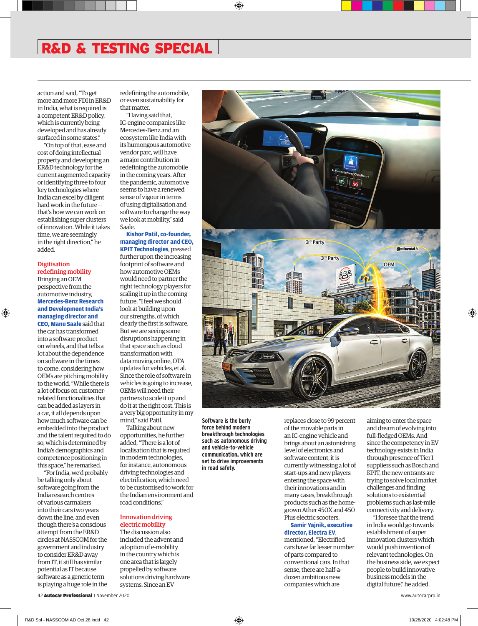action and said, "To get more and more FDI in ER&D in India, what is required is a competent ER&D policy, which is currently being developed and has already surfaced in some states."

"On top of that, ease and cost of doing intellectual property and developing an ER&D technology for the current augmented capacity or identifying three to four key technologies where India can excel by diligent hard work in the future that's how we can work on establishing super clusters of innovation. While it takes time, we are seemingly in the right direction," he added.

#### **Digitisation** redefining mobility

Bringing an OEM perspective from the automotive industry, **Mercedes-Benz Research and Development India's managing director and CEO, Manu Saale** said that

the car has transformed into a software product on wheels, and that tells a lot about the dependence on software in the times to come, considering how OEMs are pitching mobility to the world. "While there is a lot of focus on customerrelated functionalities that can be added as layers in a car, it all depends upon how much software can be embedded into the product and the talent required to do so, which is determined by India's demographics and competence positioning in this space," he remarked.

"For India, we'd probably be talking only about software going from the India research centres of various carmakers into their cars two years down the line, and even though there's a conscious attempt from the ER&D circles at NASSCOM for the government and industry to consider ER&D away from IT, it still has similar potential as IT because software as a generic term is playing a huge role in the redefining the automobile, or even sustainability for that matter.

"Having said that, IC-engine companies like Mercedes-Benz and an ecosystem like India with its humongous automotive vendor parc, will have a major contribution in redefining the automobile in the coming years. After the pandemic, automotive seems to have a renewed sense of vigour in terms of using digitalisation and software to change the way we look at mobility," said Saale.

**Kishor Patil, co-founder, managing director and CEO, KPIT Technologies**, pressed further upon the increasing footprint of software and how automotive OEMs would need to partner the right technology players for scaling it up in the coming future. "I feel we should look at building upon our strengths, of which clearly the first is software. But we are seeing some disruptions happening in that space such as cloud transformation with data moving online, OTA updates for vehicles, et al. Since the role of software in vehicles is going to increase, OEMs will need their partners to scale it up and do it at the right cost. This is a very big opportunity in my mind," said Patil.

Talking about new opportunities, he further added, "There is a lot of localisation that is required in modern technologies, for instance, autonomous driving technologies and electrification, which need to be customised to work for the Indian environment and road conditions."

#### Innovation driving electric mobility

The discussion also included the advent and adoption of e-mobility in the country which is one area that is largely propelled by software solutions driving hardware systems. Since an EV



**Software is the burly force behind modern breakthrough technologies such as autonomous driving and vehicle-to-vehicle communication, which are set to drive improvements in road safety.**

replaces close to 99 percent of the movable parts in an IC-engine vehicle and brings about an astonishing level of electronics and software content, it is currently witnessing a lot of start-ups and new players entering the space with their innovations and in many cases, breakthrough products such as the homegrown Ather 450X and 450 Plus electric scooters.

#### **Samir Yajnik, executive director, Electra EV**,

mentioned, "Electrified cars have far lesser number of parts compared to conventional cars. In that sense, there are half-adozen ambitious new companies which are

aiming to enter the space and dream of evolving into full-fledged OEMs. And since the competency in EV technology exists in India through presence of Tier I suppliers such as Bosch and KPIT, the new entrants are trying to solve local market challenges and finding solutions to existential problems such as last-mile connectivity and delivery.

"I foresee that the trend in India would go towards establishment of super innovation clusters which would push invention of relevant technologies. On the business side, we expect people to build innovative business models in the digital future," he added.